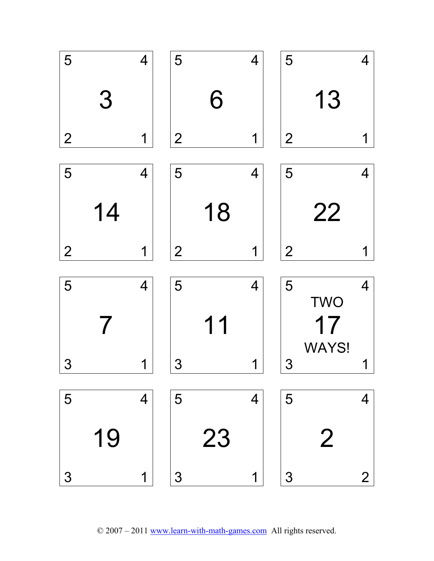

© 2007 – 2011 www.learn-with-math-games.com All rights reserved.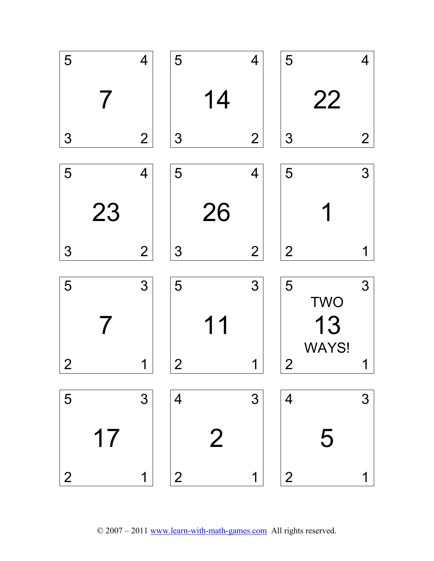

© 2007 – 2011 www.learn-with-math-games.com All rights reserved.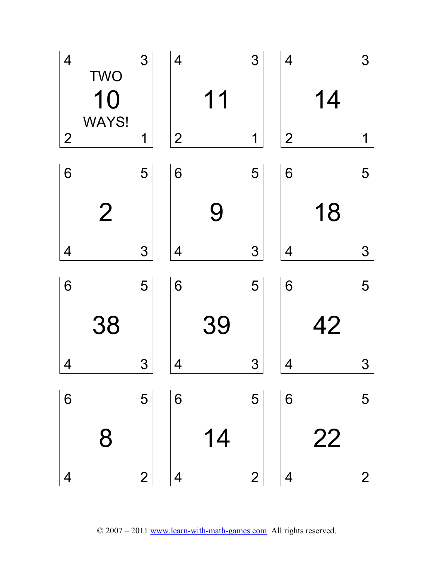

© 2007 – 2011 www.learn-with-math-games.com All rights reserved.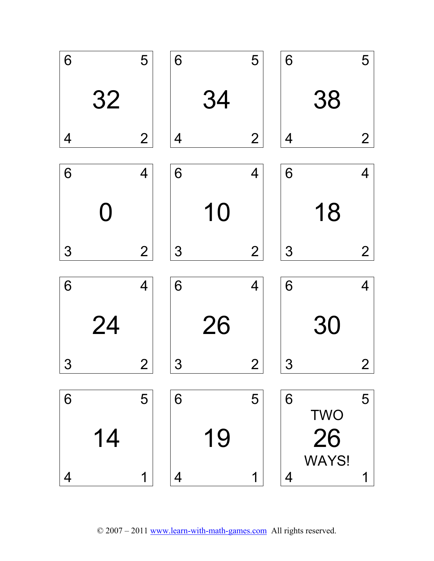

© 2007 – 2011 www.learn-with-math-games.com All rights reserved.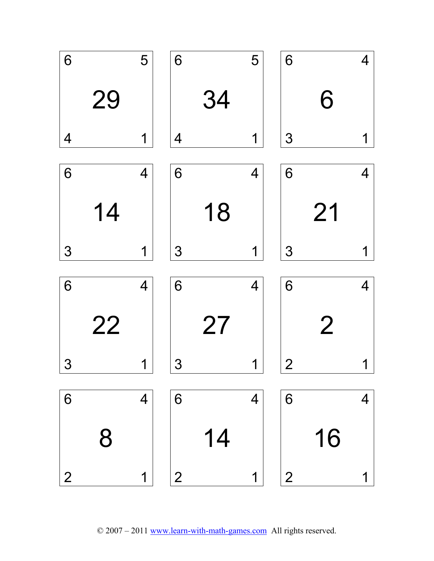

© 2007 – 2011 www.learn-with-math-games.com All rights reserved.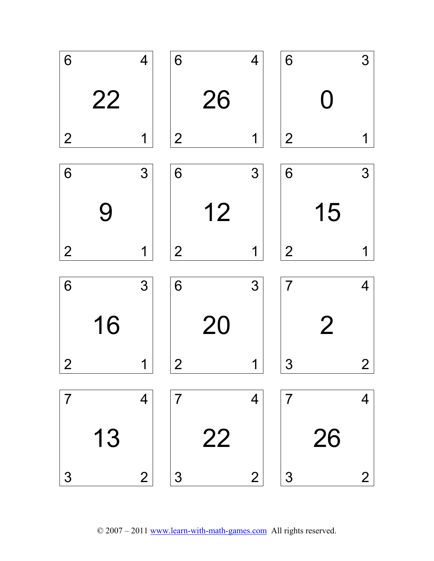

© 2007 – 2011 www.learn-with-math-games.com All rights reserved.